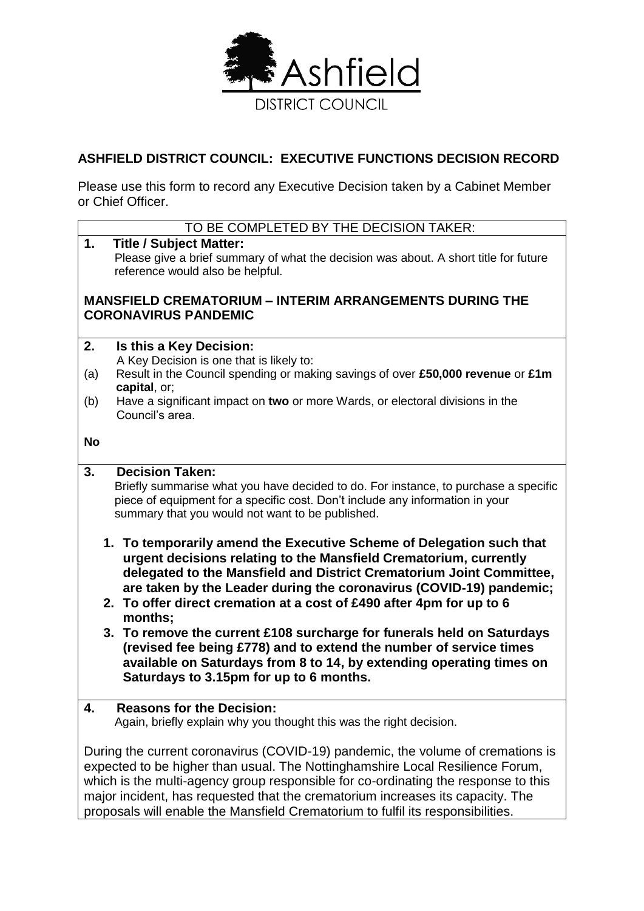

# **ASHFIELD DISTRICT COUNCIL: EXECUTIVE FUNCTIONS DECISION RECORD**

Please use this form to record any Executive Decision taken by a Cabinet Member or Chief Officer.

## TO BE COMPLETED BY THE DECISION TAKER:

**1. Title / Subject Matter:** Please give a brief summary of what the decision was about. A short title for future reference would also be helpful. **MANSFIELD CREMATORIUM – INTERIM ARRANGEMENTS DURING THE CORONAVIRUS PANDEMIC 2. Is this a Key Decision:** A Key Decision is one that is likely to: (a) Result in the Council spending or making savings of over **£50,000 revenue** or **£1m capital**, or; (b) Have a significant impact on **two** or more Wards, or electoral divisions in the Council's area. **No 3. Decision Taken:** Briefly summarise what you have decided to do. For instance, to purchase a specific piece of equipment for a specific cost. Don't include any information in your summary that you would not want to be published. **1. To temporarily amend the Executive Scheme of Delegation such that urgent decisions relating to the Mansfield Crematorium, currently delegated to the Mansfield and District Crematorium Joint Committee, are taken by the Leader during the coronavirus (COVID-19) pandemic; 2. To offer direct cremation at a cost of £490 after 4pm for up to 6 months; 3. To remove the current £108 surcharge for funerals held on Saturdays (revised fee being £778) and to extend the number of service times available on Saturdays from 8 to 14, by extending operating times on Saturdays to 3.15pm for up to 6 months. 4. Reasons for the Decision:** Again, briefly explain why you thought this was the right decision. During the current coronavirus (COVID-19) pandemic, the volume of cremations is expected to be higher than usual. The Nottinghamshire Local Resilience Forum, which is the multi-agency group responsible for co-ordinating the response to this major incident, has requested that the crematorium increases its capacity. The

proposals will enable the Mansfield Crematorium to fulfil its responsibilities.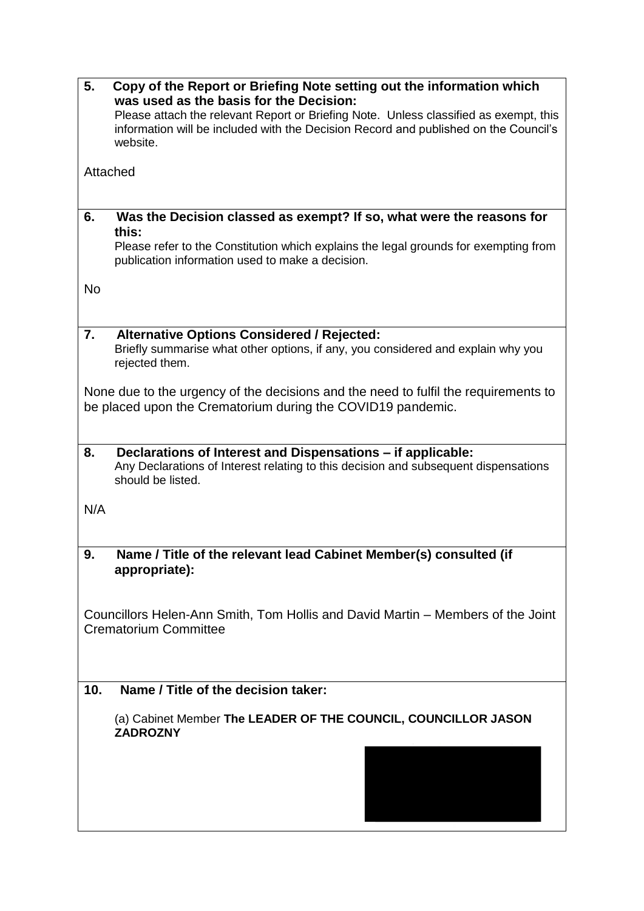| 5.        | Copy of the Report or Briefing Note setting out the information which<br>was used as the basis for the Decision:<br>Please attach the relevant Report or Briefing Note. Unless classified as exempt, this<br>information will be included with the Decision Record and published on the Council's<br>website. |  |  |
|-----------|---------------------------------------------------------------------------------------------------------------------------------------------------------------------------------------------------------------------------------------------------------------------------------------------------------------|--|--|
| Attached  |                                                                                                                                                                                                                                                                                                               |  |  |
| 6.        | Was the Decision classed as exempt? If so, what were the reasons for<br>this:<br>Please refer to the Constitution which explains the legal grounds for exempting from<br>publication information used to make a decision.                                                                                     |  |  |
| <b>No</b> |                                                                                                                                                                                                                                                                                                               |  |  |
| 7.        | <b>Alternative Options Considered / Rejected:</b><br>Briefly summarise what other options, if any, you considered and explain why you<br>rejected them.                                                                                                                                                       |  |  |
|           | None due to the urgency of the decisions and the need to fulfil the requirements to<br>be placed upon the Crematorium during the COVID19 pandemic.                                                                                                                                                            |  |  |
| 8.        | Declarations of Interest and Dispensations - if applicable:<br>Any Declarations of Interest relating to this decision and subsequent dispensations<br>should be listed.                                                                                                                                       |  |  |
| N/A       |                                                                                                                                                                                                                                                                                                               |  |  |
| 9.        | Name / Title of the relevant lead Cabinet Member(s) consulted (if<br>appropriate):                                                                                                                                                                                                                            |  |  |
|           | Councillors Helen-Ann Smith, Tom Hollis and David Martin – Members of the Joint<br><b>Crematorium Committee</b>                                                                                                                                                                                               |  |  |
| 10.       | Name / Title of the decision taker:                                                                                                                                                                                                                                                                           |  |  |
|           | (a) Cabinet Member The LEADER OF THE COUNCIL, COUNCILLOR JASON<br><b>ZADROZNY</b>                                                                                                                                                                                                                             |  |  |
|           |                                                                                                                                                                                                                                                                                                               |  |  |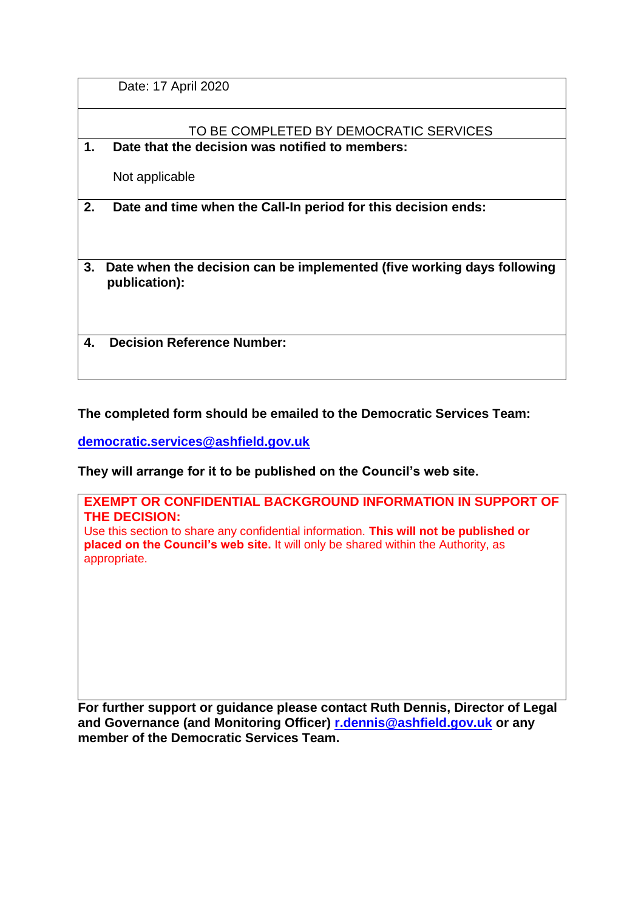Date: 17 April 2020

# TO BE COMPLETED BY DEMOCRATIC SERVICES

**1. Date that the decision was notified to members:**

Not applicable

**2. Date and time when the Call-In period for this decision ends:**

**3. Date when the decision can be implemented (five working days following publication):**

**4. Decision Reference Number:**

## **The completed form should be emailed to the Democratic Services Team:**

**[democratic.services@ashfield.gov.uk](mailto:democratic.services@ashfield.gov.uk)**

**They will arrange for it to be published on the Council's web site.**

**EXEMPT OR CONFIDENTIAL BACKGROUND INFORMATION IN SUPPORT OF THE DECISION:** Use this section to share any confidential information. **This will not be published or placed on the Council's web site.** It will only be shared within the Authority, as appropriate.

**For further support or guidance please contact Ruth Dennis, Director of Legal and Governance (and Monitoring Officer) [r.dennis@ashfield.gov.uk](mailto:r.dennis@ashfield-dc.gov.uk) or any member of the Democratic Services Team.**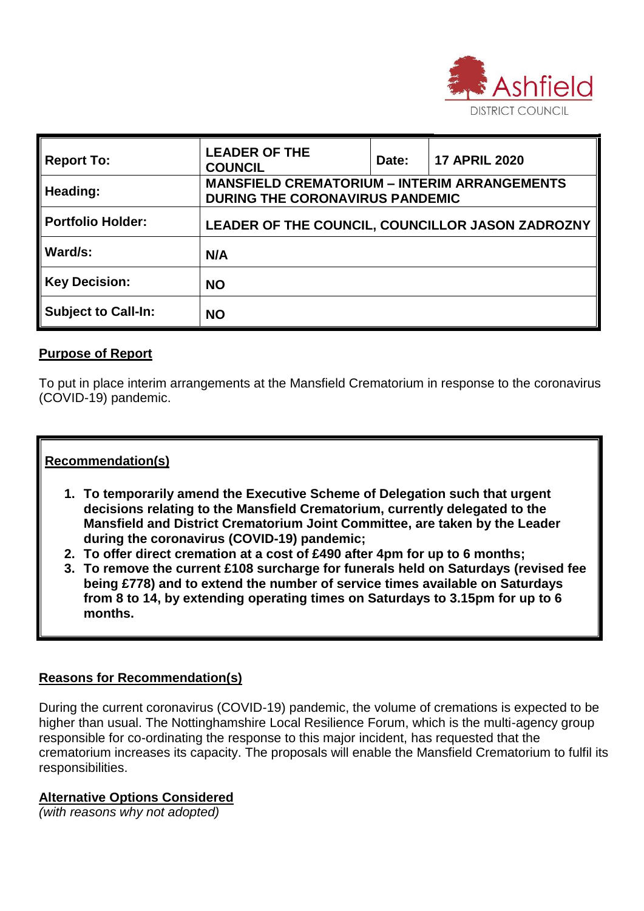

| <b>Report To:</b>          | <b>LEADER OF THE</b><br><b>COUNCIL</b>                                                        | Date: | <b>17 APRIL 2020</b> |
|----------------------------|-----------------------------------------------------------------------------------------------|-------|----------------------|
| Heading:                   | <b>MANSFIELD CREMATORIUM - INTERIM ARRANGEMENTS</b><br><b>DURING THE CORONAVIRUS PANDEMIC</b> |       |                      |
| Portfolio Holder:          | LEADER OF THE COUNCIL, COUNCILLOR JASON ZADROZNY                                              |       |                      |
| Ward/s:                    | N/A                                                                                           |       |                      |
| <b>Key Decision:</b>       | <b>NO</b>                                                                                     |       |                      |
| <b>Subject to Call-In:</b> | <b>NO</b>                                                                                     |       |                      |

## **Purpose of Report**

To put in place interim arrangements at the Mansfield Crematorium in response to the coronavirus (COVID-19) pandemic.

# **Recommendation(s)**

- **1. To temporarily amend the Executive Scheme of Delegation such that urgent decisions relating to the Mansfield Crematorium, currently delegated to the Mansfield and District Crematorium Joint Committee, are taken by the Leader during the coronavirus (COVID-19) pandemic;**
- **2. To offer direct cremation at a cost of £490 after 4pm for up to 6 months;**
- **3. To remove the current £108 surcharge for funerals held on Saturdays (revised fee being £778) and to extend the number of service times available on Saturdays from 8 to 14, by extending operating times on Saturdays to 3.15pm for up to 6 months.**

### **Reasons for Recommendation(s)**

During the current coronavirus (COVID-19) pandemic, the volume of cremations is expected to be higher than usual. The Nottinghamshire Local Resilience Forum, which is the multi-agency group responsible for co-ordinating the response to this major incident, has requested that the crematorium increases its capacity. The proposals will enable the Mansfield Crematorium to fulfil its responsibilities.

### **Alternative Options Considered**

*(with reasons why not adopted)*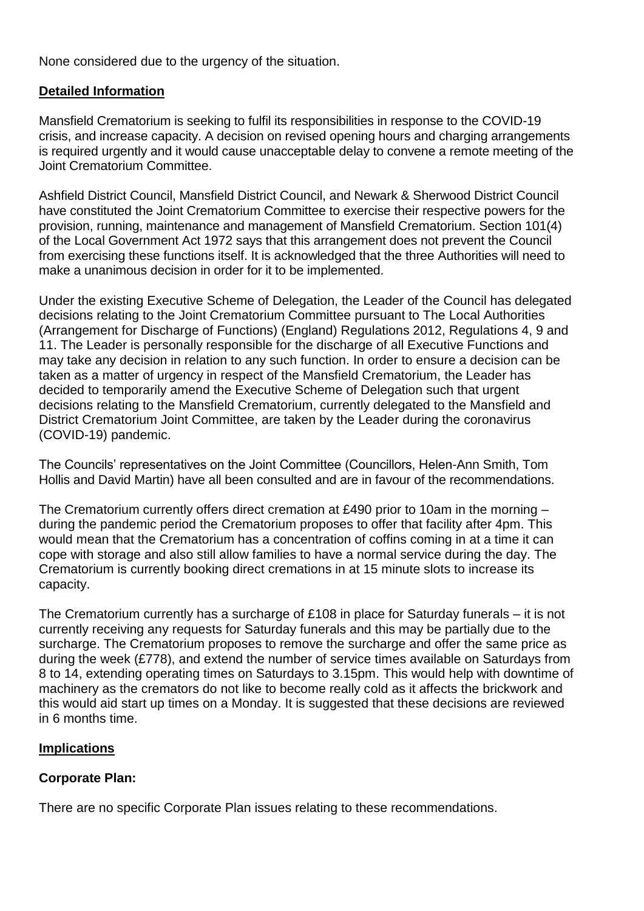None considered due to the urgency of the situation.

## **Detailed Information**

Mansfield Crematorium is seeking to fulfil its responsibilities in response to the COVID-19 crisis, and increase capacity. A decision on revised opening hours and charging arrangements is required urgently and it would cause unacceptable delay to convene a remote meeting of the Joint Crematorium Committee.

Ashfield District Council, Mansfield District Council, and Newark & Sherwood District Council have constituted the Joint Crematorium Committee to exercise their respective powers for the provision, running, maintenance and management of Mansfield Crematorium. Section 101(4) of the Local Government Act 1972 says that this arrangement does not prevent the Council from exercising these functions itself. It is acknowledged that the three Authorities will need to make a unanimous decision in order for it to be implemented.

Under the existing Executive Scheme of Delegation, the Leader of the Council has delegated decisions relating to the Joint Crematorium Committee pursuant to The Local Authorities (Arrangement for Discharge of Functions) (England) Regulations 2012, Regulations 4, 9 and 11. The Leader is personally responsible for the discharge of all Executive Functions and may take any decision in relation to any such function. In order to ensure a decision can be taken as a matter of urgency in respect of the Mansfield Crematorium, the Leader has decided to temporarily amend the Executive Scheme of Delegation such that urgent decisions relating to the Mansfield Crematorium, currently delegated to the Mansfield and District Crematorium Joint Committee, are taken by the Leader during the coronavirus (COVID-19) pandemic.

The Councils' representatives on the Joint Committee (Councillors, Helen-Ann Smith, Tom Hollis and David Martin) have all been consulted and are in favour of the recommendations.

The Crematorium currently offers direct cremation at £490 prior to 10am in the morning – during the pandemic period the Crematorium proposes to offer that facility after 4pm. This would mean that the Crematorium has a concentration of coffins coming in at a time it can cope with storage and also still allow families to have a normal service during the day. The Crematorium is currently booking direct cremations in at 15 minute slots to increase its capacity.

The Crematorium currently has a surcharge of £108 in place for Saturday funerals – it is not currently receiving any requests for Saturday funerals and this may be partially due to the surcharge. The Crematorium proposes to remove the surcharge and offer the same price as during the week (£778), and extend the number of service times available on Saturdays from 8 to 14, extending operating times on Saturdays to 3.15pm. This would help with downtime of machinery as the cremators do not like to become really cold as it affects the brickwork and this would aid start up times on a Monday. It is suggested that these decisions are reviewed in 6 months time.

# **Implications**

# **Corporate Plan:**

There are no specific Corporate Plan issues relating to these recommendations.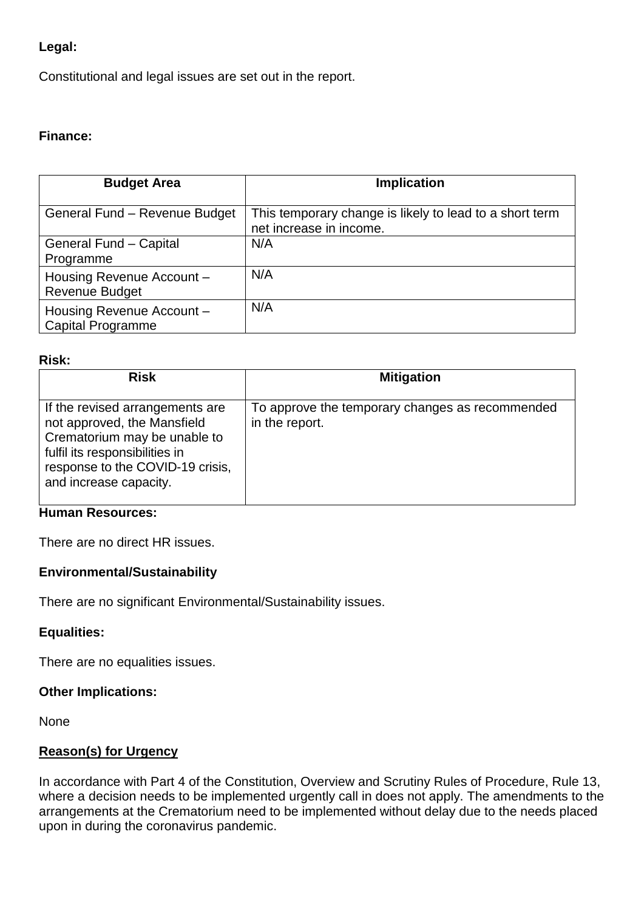# **Legal:**

Constitutional and legal issues are set out in the report.

## **Finance:**

| <b>Budget Area</b>                                    | <b>Implication</b>                                                                 |
|-------------------------------------------------------|------------------------------------------------------------------------------------|
| General Fund - Revenue Budget                         | This temporary change is likely to lead to a short term<br>net increase in income. |
| <b>General Fund - Capital</b><br>Programme            | N/A                                                                                |
| Housing Revenue Account -<br><b>Revenue Budget</b>    | N/A                                                                                |
| Housing Revenue Account -<br><b>Capital Programme</b> | N/A                                                                                |

#### **Risk:**

| <b>Risk</b>                                                                                                                                                                                    | <b>Mitigation</b>                                                 |
|------------------------------------------------------------------------------------------------------------------------------------------------------------------------------------------------|-------------------------------------------------------------------|
| If the revised arrangements are<br>not approved, the Mansfield<br>Crematorium may be unable to<br>fulfil its responsibilities in<br>response to the COVID-19 crisis,<br>and increase capacity. | To approve the temporary changes as recommended<br>in the report. |

### **Human Resources:**

There are no direct HR issues.

### **Environmental/Sustainability**

There are no significant Environmental/Sustainability issues.

### **Equalities:**

There are no equalities issues.

### **Other Implications:**

None

# **Reason(s) for Urgency**

In accordance with Part 4 of the Constitution, Overview and Scrutiny Rules of Procedure, Rule 13, where a decision needs to be implemented urgently call in does not apply. The amendments to the arrangements at the Crematorium need to be implemented without delay due to the needs placed upon in during the coronavirus pandemic.